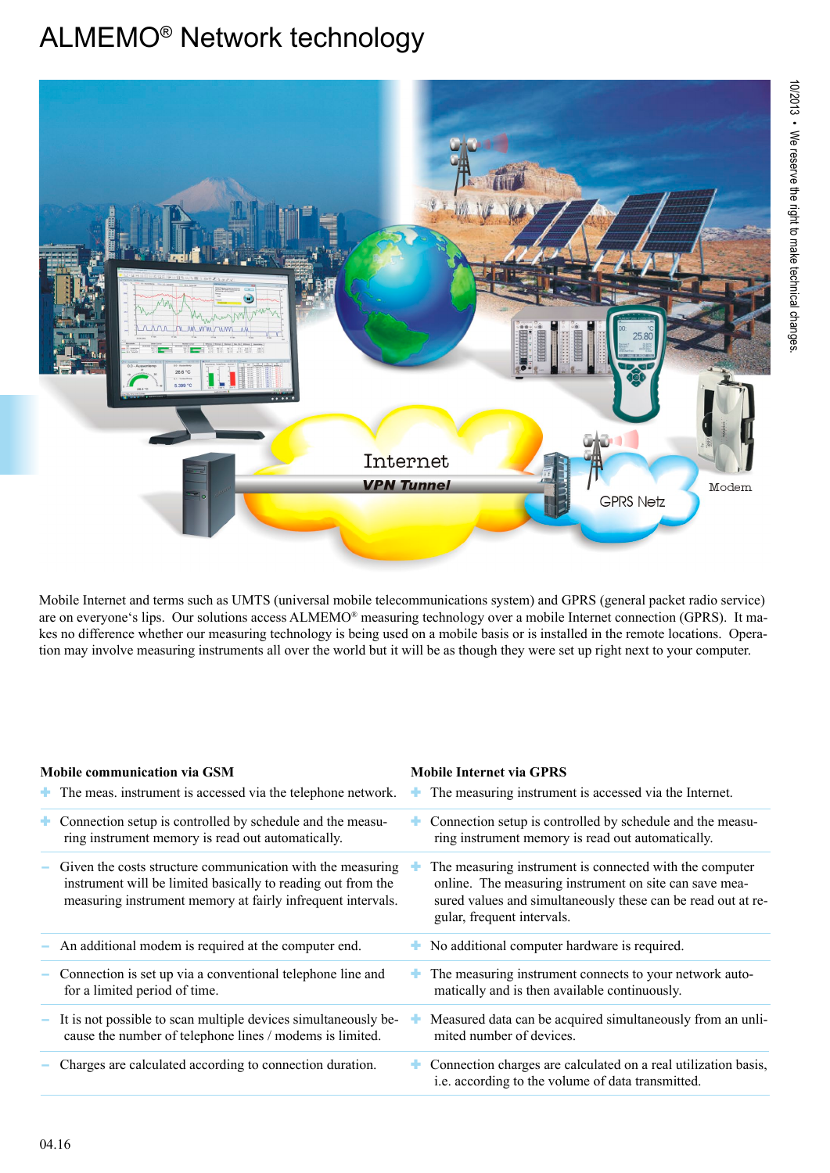

Mobile Internet and terms such as UMTS (universal mobile telecommunications system) and GPRS (general packet radio service) are on everyone's lips. Our solutions access ALMEMO® measuring technology over a mobile Internet connection (GPRS). It makes no difference whether our measuring technology is being used on a mobile basis or is installed in the remote locations. Operation may involve measuring instruments all over the world but it will be as though they were set up right next to your computer.

### **Mobile communication via GSM**

#### **Mobile Internet via GPRS**

|    | $\blacksquare$ The meas. instrument is accessed via the telephone network.                                                                                                                | The measuring instrument is accessed via the Internet.                                                                                                                                                          |
|----|-------------------------------------------------------------------------------------------------------------------------------------------------------------------------------------------|-----------------------------------------------------------------------------------------------------------------------------------------------------------------------------------------------------------------|
| ÷. | Connection setup is controlled by schedule and the measu-<br>ring instrument memory is read out automatically.                                                                            | Connection setup is controlled by schedule and the measu-<br>ring instrument memory is read out automatically.                                                                                                  |
|    | Given the costs structure communication with the measuring<br>instrument will be limited basically to reading out from the<br>measuring instrument memory at fairly infrequent intervals. | The measuring instrument is connected with the computer<br>online. The measuring instrument on site can save mea-<br>sured values and simultaneously these can be read out at re-<br>gular, frequent intervals. |
|    | An additional modem is required at the computer end.                                                                                                                                      | No additional computer hardware is required.                                                                                                                                                                    |
|    | Connection is set up via a conventional telephone line and<br>for a limited period of time.                                                                                               | The measuring instrument connects to your network auto-<br>matically and is then available continuously.                                                                                                        |
|    | It is not possible to scan multiple devices simultaneously be-<br>cause the number of telephone lines / modems is limited.                                                                | Measured data can be acquired simultaneously from an unli-<br>mited number of devices.                                                                                                                          |
|    | Charges are calculated according to connection duration.                                                                                                                                  | Connection charges are calculated on a real utilization basis,<br>i.e. according to the volume of data transmitted.                                                                                             |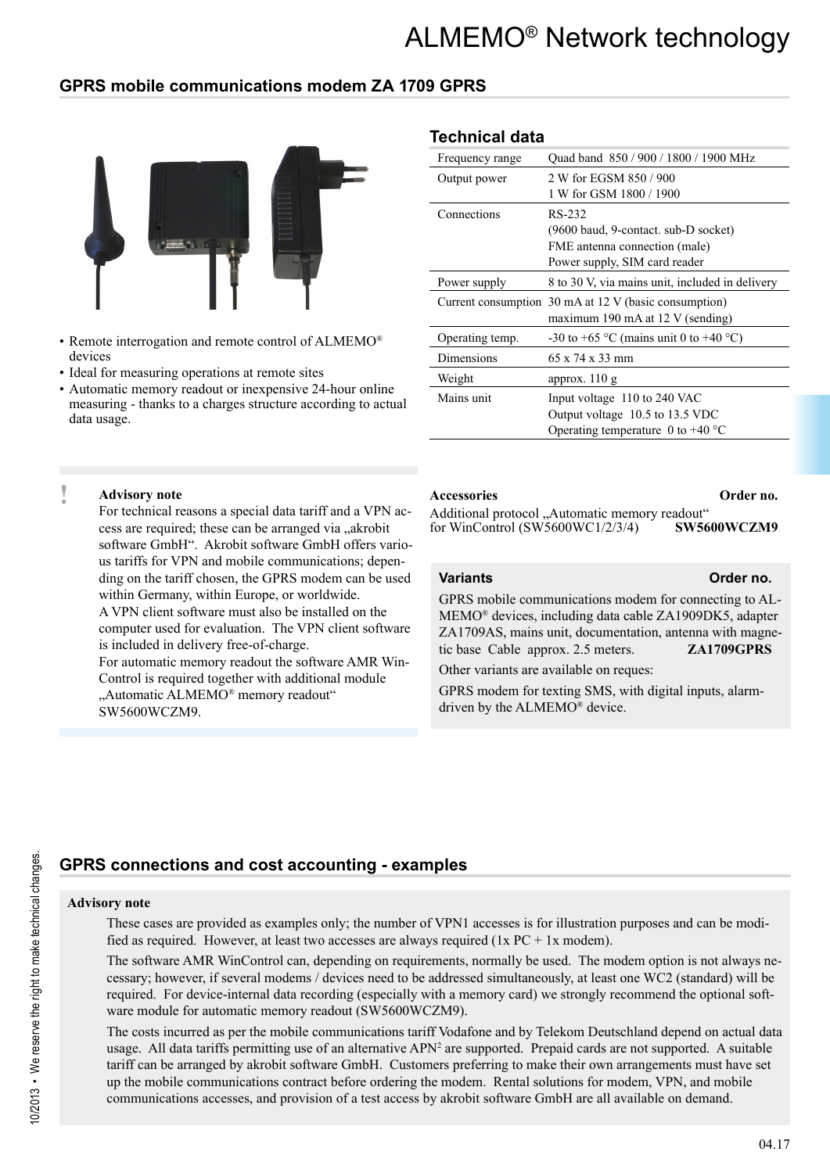### **GPRS mobile communications modem ZA 1709 GPRS**



- Remote interrogation and remote control of ALMEMO® devices
- Ideal for measuring operations at remote sites
- Automatic memory readout or inexpensive 24-hour online measuring - thanks to a charges structure according to actual data usage.

### **Technical data**

| Frequency range | Quad band 850 / 900 / 1800 / 1900 MHz                    |
|-----------------|----------------------------------------------------------|
| Output power    | 2 W for EGSM 850 / 900                                   |
|                 | 1 W for GSM 1800 / 1900                                  |
| Connections     | RS-232                                                   |
|                 | (9600 baud, 9-contact. sub-D socket)                     |
|                 | FME antenna connection (male)                            |
|                 | Power supply, SIM card reader                            |
| Power supply    | 8 to 30 V, via mains unit, included in delivery          |
|                 | Current consumption 30 mA at 12 V (basic consumption)    |
|                 | maximum 190 mA at 12 V (sending)                         |
| Operating temp. | -30 to +65 $\degree$ C (mains unit 0 to +40 $\degree$ C) |
| Dimensions      | $65 \times 74 \times 33$ mm                              |
| Weight          | approx. $110 \text{ g}$                                  |
| Mains unit      | Input voltage 110 to 240 VAC                             |
|                 | Output voltage 10.5 to 13.5 VDC                          |
|                 | Operating temperature 0 to +40 $^{\circ}$ C              |
|                 |                                                          |

#### **! Advisory note**

For technical reasons a special data tariff and a VPN access are required; these can be arranged via "akrobit software GmbH". Akrobit software GmbH offers various tariffs for VPN and mobile communications; depending on the tariff chosen, the GPRS modem can be used within Germany, within Europe, or worldwide. A VPN client software must also be installed on the computer used for evaluation. The VPN client software is included in delivery free-of-charge. For automatic memory readout the software AMR Win-Control is required together with additional module

"Automatic ALMEMO® memory readout" SW5600WCZM9.

#### **Accessories Order no.**

Additional protocol "Automatic memory readout"<br>for WinControl (SW5600WC1/2/3/4) SW5600WCZM9 for WinControl  $(SW5600WC1/2/3/4)$ 

#### **Variants Order no.**

GPRS mobile communications modem for connecting to AL-MEMO® devices, including data cable ZA1909DK5, adapter ZA1709AS, mains unit, documentation, antenna with magnetic base Cable approx. 2.5 meters. **ZA1709GPRS**

Other variants are available on reques:

GPRS modem for texting SMS, with digital inputs, alarmdriven by the ALMEMO® device.

## **GPRS connections and cost accounting - examples**

#### **Advisory note**

These cases are provided as examples only; the number of VPN1 accesses is for illustration purposes and can be modified as required. However, at least two accesses are always required ( $1x PC + 1x$  modem).

The software AMR WinControl can, depending on requirements, normally be used. The modem option is not always necessary; however, if several modems / devices need to be addressed simultaneously, at least one WC2 (standard) will be required. For device-internal data recording (especially with a memory card) we strongly recommend the optional software module for automatic memory readout (SW5600WCZM9).

The costs incurred as per the mobile communications tariff Vodafone and by Telekom Deutschland depend on actual data usage. All data tariffs permitting use of an alternative APN<sup>2</sup> are supported. Prepaid cards are not supported. A suitable tariff can be arranged by akrobit software GmbH. Customers preferring to make their own arrangements must have set up the mobile communications contract before ordering the modem. Rental solutions for modem, VPN, and mobile communications accesses, and provision of a test access by akrobit software GmbH are all available on demand.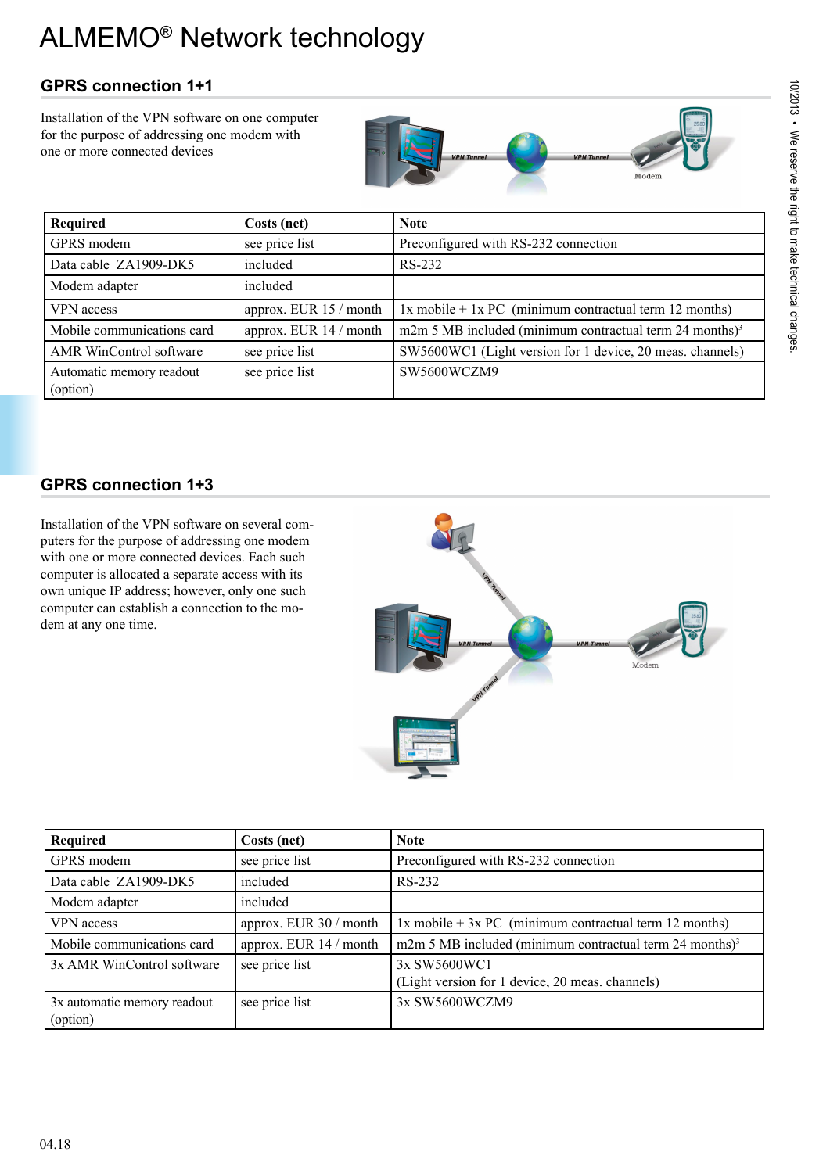# **GPRS connection 1+1**

Installation of the VPN software on one computer for the purpose of addressing one modem with one or more connected devices



| Required                             | Costs (net)            | <b>Note</b>                                                              |
|--------------------------------------|------------------------|--------------------------------------------------------------------------|
| GPRS modem                           | see price list         | Preconfigured with RS-232 connection                                     |
| Data cable ZA1909-DK5                | included               | RS-232                                                                   |
| Modem adapter                        | included               |                                                                          |
| VPN access                           | approx. EUR 15 / month | $1x \text{ mobile} + 1x \text{ PC}$ (minimum contractual term 12 months) |
| Mobile communications card           | approx. EUR 14 / month | m2m 5 MB included (minimum contractual term $24$ months) <sup>3</sup>    |
| AMR WinControl software              | see price list         | SW5600WC1 (Light version for 1 device, 20 meas. channels)                |
| Automatic memory readout<br>(option) | see price list         | SW5600WCZM9                                                              |

# **GPRS connection 1+3**

Installation of the VPN software on several computers for the purpose of addressing one modem with one or more connected devices. Each such computer is allocated a separate access with its own unique IP address; however, only one such computer can establish a connection to the modem at any one time.



| Required                                | Costs (net)            | <b>Note</b>                                                              |
|-----------------------------------------|------------------------|--------------------------------------------------------------------------|
| GPRS modem                              | see price list         | Preconfigured with RS-232 connection                                     |
| Data cable ZA1909-DK5                   | included               | RS-232                                                                   |
| Modem adapter                           | included               |                                                                          |
| VPN access                              | approx. EUR 30 / month | $1x \text{ mobile} + 3x \text{ PC}$ (minimum contractual term 12 months) |
| Mobile communications card              | approx. EUR 14 / month | m2m 5 MB included (minimum contractual term 24 months) <sup>3</sup>      |
| 3x AMR WinControl software              | see price list         | 3x SW5600WC1<br>(Light version for 1 device, 20 meas. channels)          |
| 3x automatic memory readout<br>(option) | see price list         | 3x SW5600WCZM9                                                           |